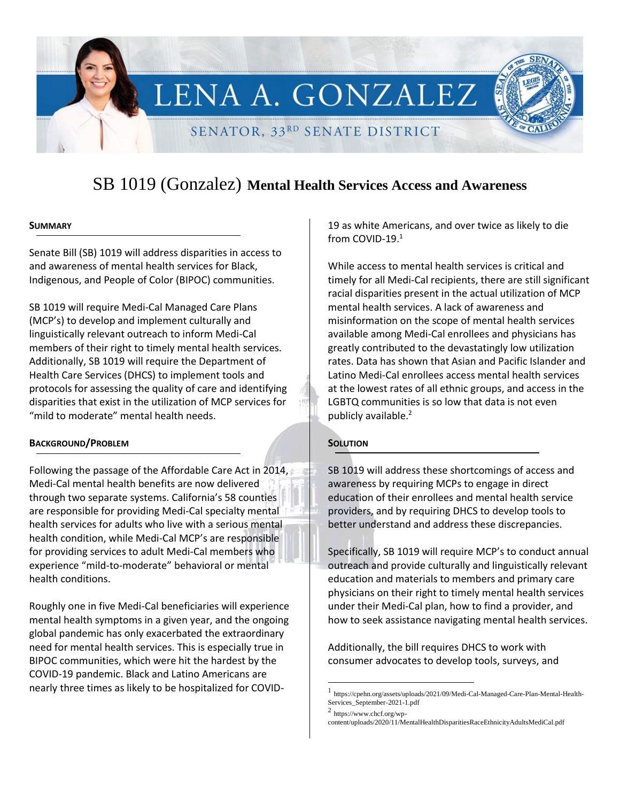LENA A. GONZALEZ

SENATOR, 33RD SENATE DISTRICT

# SB 1019 (Gonzalez) **Mental Health Services Access and Awareness**

### **SUMMARY**

Senate Bill (SB) 1019 will address disparities in access to and awareness of mental health services for Black, Indigenous, and People of Color (BIPOC) communities.

SB 1019 will require Medi-Cal Managed Care Plans (MCP's) to develop and implement culturally and linguistically relevant outreach to inform Medi-Cal members of their right to timely mental health services. Additionally, SB 1019 will require the Department of Health Care Services (DHCS) to implement tools and protocols for assessing the quality of care and identifying disparities that exist in the utilization of MCP services for "mild to moderate" mental health needs.

### **BACKGROUND/PROBLEM**

Following the passage of the Affordable Care Act in 2014, Medi-Cal mental health benefits are now delivered through two separate systems. California's 58 counties are responsible for providing Medi-Cal specialty mental health services for adults who live with a serious mental health condition, while Medi-Cal MCP's are responsible for providing services to adult Medi-Cal members who experience "mild-to-moderate" behavioral or mental health conditions.

Roughly one in five Medi-Cal beneficiaries will experience mental health symptoms in a given year, and the ongoing global pandemic has only exacerbated the extraordinary need for mental health services. This is especially true in BIPOC communities, which were hit the hardest by the COVID-19 pandemic. Black and Latino Americans are nearly three times as likely to be hospitalized for COVID-

19 as white Americans, and over twice as likely to die from COVID-19. 1

While access to mental health services is critical and timely for all Medi-Cal recipients, there are still significant racial disparities present in the actual utilization of MCP mental health services. A lack of awareness and misinformation on the scope of mental health services available among Medi-Cal enrollees and physicians has greatly contributed to the devastatingly low utilization rates. Data has shown that Asian and Pacific Islander and Latino Medi-Cal enrollees access mental health services at the lowest rates of all ethnic groups, and access in the LGBTQ communities is so low that data is not even publicly available.<sup>2</sup>

# **SOLUTION**

SB 1019 will address these shortcomings of access and awareness by requiring MCPs to engage in direct education of their enrollees and mental health service providers, and by requiring DHCS to develop tools to better understand and address these discrepancies.

Specifically, SB 1019 will require MCP's to conduct annual outreach and provide culturally and linguistically relevant education and materials to members and primary care physicians on their right to timely mental health services under their Medi-Cal plan, how to find a provider, and how to seek assistance navigating mental health services.

Additionally, the bill requires DHCS to work with consumer advocates to develop tools, surveys, and

 $\overline{a}$ 

<sup>1</sup> https://cpehn.org/assets/uploads/2021/09/Medi-Cal-Managed-Care-Plan-Mental-Health-Services\_September-2021-1.pdf

<sup>2</sup> https://www.chcf.org/wp-

content/uploads/2020/11/MentalHealthDisparitiesRaceEthnicityAdultsMediCal.pdf